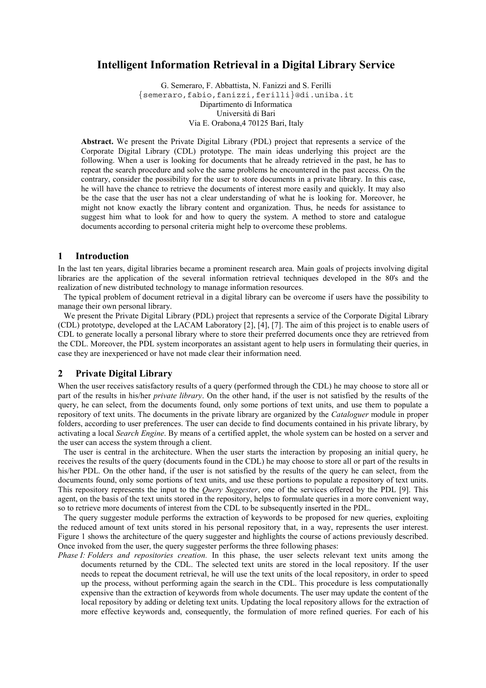# **Intelligent Information Retrieval in a Digital Library Service**

G. Semeraro, F. Abbattista, N. Fanizzi and S. Ferilli {semeraro,fabio,fanizzi,ferilli}@di.uniba.it Dipartimento di Informatica Università di Bari Via E. Orabona,4 70125 Bari, Italy

**Abstract.** We present the Private Digital Library (PDL) project that represents a service of the Corporate Digital Library (CDL) prototype. The main ideas underlying this project are the following. When a user is looking for documents that he already retrieved in the past, he has to repeat the search procedure and solve the same problems he encountered in the past access. On the contrary, consider the possibility for the user to store documents in a private library. In this case, he will have the chance to retrieve the documents of interest more easily and quickly. It may also be the case that the user has not a clear understanding of what he is looking for. Moreover, he might not know exactly the library content and organization. Thus, he needs for assistance to suggest him what to look for and how to query the system. A method to store and catalogue documents according to personal criteria might help to overcome these problems.

### **1 Introduction**

In the last ten years, digital libraries became a prominent research area. Main goals of projects involving digital libraries are the application of the several information retrieval techniques developed in the 80's and the realization of new distributed technology to manage information resources.

The typical problem of document retrieval in a digital library can be overcome if users have the possibility to manage their own personal library.

We present the Private Digital Library (PDL) project that represents a service of the Corporate Digital Library (CDL) prototype, developed at the LACAM Laboratory [2], [4], [7]. The aim of this project is to enable users of CDL to generate locally a personal library where to store their preferred documents once they are retrieved from the CDL. Moreover, the PDL system incorporates an assistant agent to help users in formulating their queries, in case they are inexperienced or have not made clear their information need.

## **2 Private Digital Library**

When the user receives satisfactory results of a query (performed through the CDL) he may choose to store all or part of the results in his/her *private library*. On the other hand, if the user is not satisfied by the results of the query, he can select, from the documents found, only some portions of text units, and use them to populate a repository of text units. The documents in the private library are organized by the *Cataloguer* module in proper folders, according to user preferences. The user can decide to find documents contained in his private library, by activating a local *Search Engine*. By means of a certified applet, the whole system can be hosted on a server and the user can access the system through a client.

The user is central in the architecture. When the user starts the interaction by proposing an initial query, he receives the results of the query (documents found in the CDL) he may choose to store all or part of the results in his/her PDL. On the other hand, if the user is not satisfied by the results of the query he can select, from the documents found, only some portions of text units, and use these portions to populate a repository of text units. This repository represents the input to the *Query Suggester*, one of the services offered by the PDL [9]. This agent, on the basis of the text units stored in the repository, helps to formulate queries in a more convenient way, so to retrieve more documents of interest from the CDL to be subsequently inserted in the PDL.

The query suggester module performs the extraction of keywords to be proposed for new queries, exploiting the reduced amount of text units stored in his personal repository that, in a way, represents the user interest. Figure 1 shows the architecture of the query suggester and highlights the course of actions previously described. Once invoked from the user, the query suggester performs the three following phases:

*Phase I: Folders and repositories creation.* In this phase, the user selects relevant text units among the documents returned by the CDL. The selected text units are stored in the local repository. If the user needs to repeat the document retrieval, he will use the text units of the local repository, in order to speed up the process, without performing again the search in the CDL. This procedure is less computationally expensive than the extraction of keywords from whole documents. The user may update the content of the local repository by adding or deleting text units. Updating the local repository allows for the extraction of more effective keywords and, consequently, the formulation of more refined queries. For each of his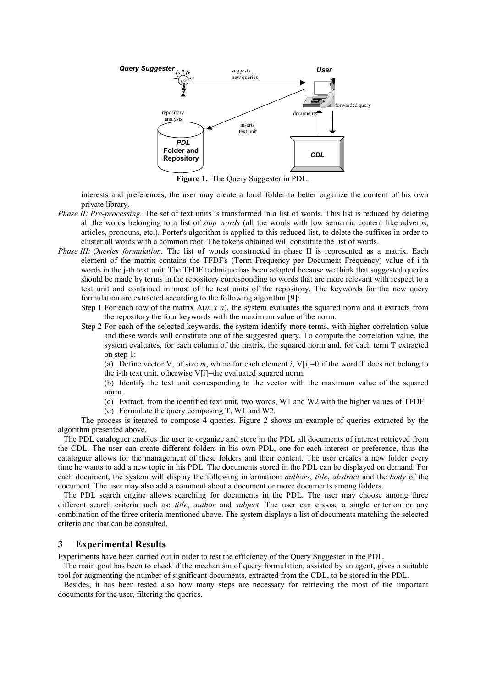

**Figure 1.** The Query Suggester in PDL.

interests and preferences, the user may create a local folder to better organize the content of his own private library.

- *Phase II: Pre-processing.* The set of text units is transformed in a list of words. This list is reduced by deleting all the words belonging to a list of *stop words* (all the words with low semantic content like adverbs, articles, pronouns, etc.). Porter's algorithm is applied to this reduced list, to delete the suffixes in order to cluster all words with a common root. The tokens obtained will constitute the list of words.
- *Phase III: Queries formulation.* The list of words constructed in phase II is represented as a matrix. Each element of the matrix contains the TFDF's (Term Frequency per Document Frequency) value of i-th words in the j-th text unit. The TFDF technique has been adopted because we think that suggested queries should be made by terms in the repository corresponding to words that are more relevant with respect to a text unit and contained in most of the text units of the repository. The keywords for the new query formulation are extracted according to the following algorithm [9]:
	- Step 1 For each row of the matrix  $A(m \times n)$ , the system evaluates the squared norm and it extracts from the repository the four keywords with the maximum value of the norm.
	- Step 2 For each of the selected keywords, the system identify more terms, with higher correlation value and these words will constitute one of the suggested query. To compute the correlation value, the system evaluates, for each column of the matrix, the squared norm and, for each term T extracted on step 1:

(a) Define vector V, of size *m*, where for each element *i*, V[i]=0 if the word T does not belong to the i-th text unit, otherwise V[i]=the evaluated squared norm.

(b) Identify the text unit corresponding to the vector with the maximum value of the squared norm.

- (c) Extract, from the identified text unit, two words, W1 and W2 with the higher values of TFDF.
- (d) Formulate the query composing T, W1 and W2.

The process is iterated to compose 4 queries. Figure 2 shows an example of queries extracted by the algorithm presented above.

The PDL cataloguer enables the user to organize and store in the PDL all documents of interest retrieved from the CDL. The user can create different folders in his own PDL, one for each interest or preference, thus the cataloguer allows for the management of these folders and their content. The user creates a new folder every time he wants to add a new topic in his PDL. The documents stored in the PDL can be displayed on demand. For each document, the system will display the following information: *authors*, *title*, *abstract* and the *body* of the document. The user may also add a comment about a document or move documents among folders.

The PDL search engine allows searching for documents in the PDL. The user may choose among three different search criteria such as: *title*, *author* and *subject*. The user can choose a single criterion or any combination of the three criteria mentioned above. The system displays a list of documents matching the selected criteria and that can be consulted.

### **3 Experimental Results**

Experiments have been carried out in order to test the efficiency of the Query Suggester in the PDL.

The main goal has been to check if the mechanism of query formulation, assisted by an agent, gives a suitable tool for augmenting the number of significant documents, extracted from the CDL, to be stored in the PDL.

Besides, it has been tested also how many steps are necessary for retrieving the most of the important documents for the user, filtering the queries.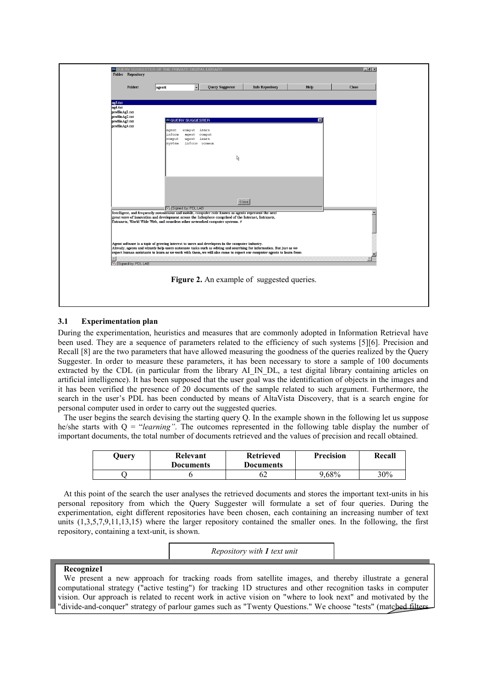

### **3.1 Experimentation plan**

During the experimentation, heuristics and measures that are commonly adopted in Information Retrieval have been used. They are a sequence of parameters related to the efficiency of such systems [5][6]. Precision and Recall [8] are the two parameters that have allowed measuring the goodness of the queries realized by the Query Suggester. In order to measure these parameters, it has been necessary to store a sample of 100 documents extracted by the CDL (in particular from the library AI\_IN\_DL, a test digital library containing articles on artificial intelligence). It has been supposed that the user goal was the identification of objects in the images and it has been verified the presence of 20 documents of the sample related to such argument. Furthermore, the search in the user's PDL has been conducted by means of AltaVista Discovery, that is a search engine for personal computer used in order to carry out the suggested queries.

The user begins the search devising the starting query Q. In the example shown in the following let us suppose he/she starts with Q = "*learning"*. The outcomes represented in the following table display the number of important documents, the total number of documents retrieved and the values of precision and recall obtained.

| Ouerv | Relevant<br><b>Documents</b> | <b>Retrieved</b><br><b>Documents</b> | <b>Precision</b> | Recall |
|-------|------------------------------|--------------------------------------|------------------|--------|
|       |                              | OΖ                                   | $0.68\%$         | 30%    |

At this point of the search the user analyses the retrieved documents and stores the important text-units in his personal repository from which the Query Suggester will formulate a set of four queries. During the experimentation, eight different repositories have been chosen, each containing an increasing number of text units (1,3,5,7,9,11,13,15) where the larger repository contained the smaller ones. In the following, the first repository, containing a text-unit, is shown.

*Repository with 1 text unit*

#### **Recognize1**

We present a new approach for tracking roads from satellite images, and thereby illustrate a general computational strategy ("active testing") for tracking 1D structures and other recognition tasks in computer vision. Our approach is related to recent work in active vision on "where to look next" and motivated by the "divide-and-conquer" strategy of parlour games such as "Twenty Questions." We choose "tests" (matched filters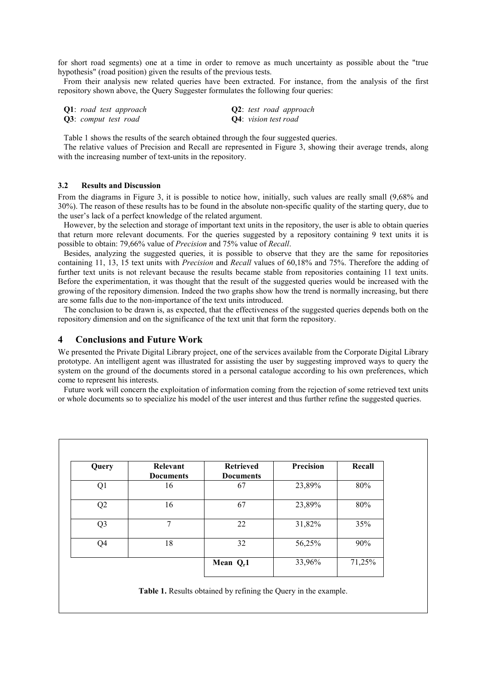for short road segments) one at a time in order to remove as much uncertainty as possible about the "true hypothesis" (road position) given the results of the previous tests.

From their analysis new related queries have been extracted. For instance, from the analysis of the first repository shown above, the Query Suggester formulates the following four queries:

| <b>Q1</b> : road test approach |  |                              | <b>Q2</b> : test road approach |
|--------------------------------|--|------------------------------|--------------------------------|
| Q3: comput test road           |  | <b>Q4</b> : vision test road |                                |

Table 1 shows the results of the search obtained through the four suggested queries.

The relative values of Precision and Recall are represented in Figure 3, showing their average trends, along with the increasing number of text-units in the repository.

### **3.2 Results and Discussion**

From the diagrams in Figure 3, it is possible to notice how, initially, such values are really small (9,68% and 30%). The reason of these results has to be found in the absolute non-specific quality of the starting query, due to the user's lack of a perfect knowledge of the related argument.

However, by the selection and storage of important text units in the repository, the user is able to obtain queries that return more relevant documents. For the queries suggested by a repository containing 9 text units it is possible to obtain: 79,66% value of *Precision* and 75% value of *Recall*.

Besides, analyzing the suggested queries, it is possible to observe that they are the same for repositories containing 11, 13, 15 text units with *Precision* and *Recall* values of 60,18% and 75%. Therefore the adding of further text units is not relevant because the results became stable from repositories containing 11 text units. Before the experimentation, it was thought that the result of the suggested queries would be increased with the growing of the repository dimension. Indeed the two graphs show how the trend is normally increasing, but there are some falls due to the non-importance of the text units introduced.

The conclusion to be drawn is, as expected, that the effectiveness of the suggested queries depends both on the repository dimension and on the significance of the text unit that form the repository.

### **4 Conclusions and Future Work**

We presented the Private Digital Library project, one of the services available from the Corporate Digital Library prototype. An intelligent agent was illustrated for assisting the user by suggesting improved ways to query the system on the ground of the documents stored in a personal catalogue according to his own preferences, which come to represent his interests.

Future work will concern the exploitation of information coming from the rejection of some retrieved text units or whole documents so to specialize his model of the user interest and thus further refine the suggested queries.

| Query          | Relevant<br><b>Documents</b> | <b>Retrieved</b><br><b>Documents</b> | Precision | Recall |
|----------------|------------------------------|--------------------------------------|-----------|--------|
| Q1             | 16                           | 67                                   | 23,89%    | 80%    |
| Q2             | 16                           | 67                                   | 23,89%    | 80%    |
| Q <sub>3</sub> | 7                            | 22                                   | 31,82%    | 35%    |
| Q4             | 18                           | 32                                   | 56,25%    | 90%    |
|                |                              | Mean $Q_r$ 1                         | 33,96%    | 71,25% |

**Table 1.** Results obtained by refining the Query in the example.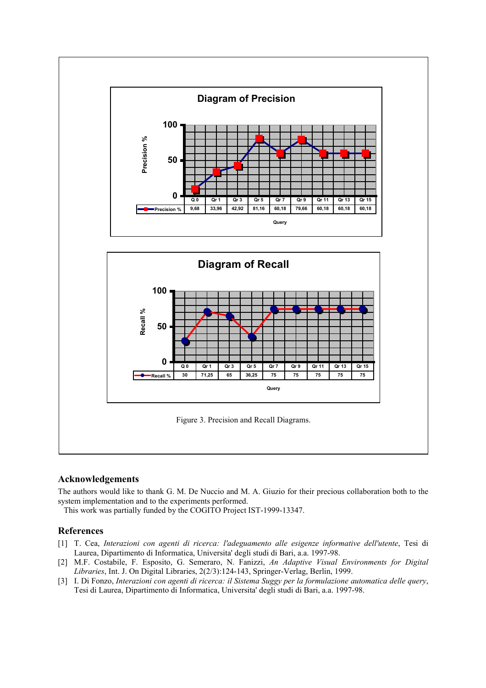

## **Acknowledgements**

The authors would like to thank G. M. De Nuccio and M. A. Giuzio for their precious collaboration both to the system implementation and to the experiments performed.

This work was partially funded by the COGITO Project IST-1999-13347.

## **References**

- [1] T. Cea, *Interazioni con agenti di ricerca: l'adeguamento alle esigenze informative dell'utente*, Tesi di Laurea, Dipartimento di Informatica, Universita' degli studi di Bari, a.a. 1997-98.
- [2] M.F. Costabile, F. Esposito, G. Semeraro, N. Fanizzi, *An Adaptive Visual Environments for Digital Libraries*, Int. J. On Digital Libraries, 2(2/3):124-143, Springer-Verlag, Berlin, 1999.
- [3] I. Di Fonzo, *Interazioni con agenti di ricerca: il Sistema Suggy per la formulazione automatica delle query*, Tesi di Laurea, Dipartimento di Informatica, Universita' degli studi di Bari, a.a. 1997-98.